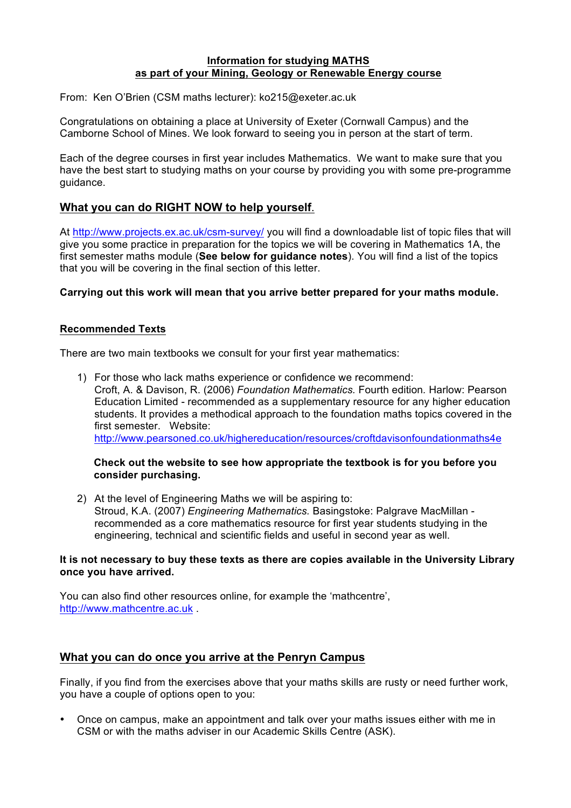### **Information for studying MATHS as part of your Mining, Geology or Renewable Energy course**

From: Ken O'Brien (CSM maths lecturer): ko215@exeter.ac.uk

Congratulations on obtaining a place at University of Exeter (Cornwall Campus) and the Camborne School of Mines. We look forward to seeing you in person at the start of term.

Each of the degree courses in first year includes Mathematics. We want to make sure that you have the best start to studying maths on your course by providing you with some pre-programme guidance.

# **What you can do RIGHT NOW to help yourself**.

At http://www.projects.ex.ac.uk/csm-survey/ you will find a downloadable list of topic files that will give you some practice in preparation for the topics we will be covering in Mathematics 1A, the first semester maths module (**See below for guidance notes**). You will find a list of the topics that you will be covering in the final section of this letter.

#### **Carrying out this work will mean that you arrive better prepared for your maths module.**

#### **Recommended Texts**

There are two main textbooks we consult for your first year mathematics:

1) For those who lack maths experience or confidence we recommend: Croft, A. & Davison, R. (2006) *Foundation Mathematics.* Fourth edition*.* Harlow: Pearson Education Limited - recommended as a supplementary resource for any higher education students. It provides a methodical approach to the foundation maths topics covered in the first semester. Website: http://www.pearsoned.co.uk/highereducation/resources/croftdavisonfoundationmaths4e

# **Check out the website to see how appropriate the textbook is for you before you consider purchasing.**

2) At the level of Engineering Maths we will be aspiring to: Stroud, K.A. (2007) *Engineering Mathematics.* Basingstoke: Palgrave MacMillan recommended as a core mathematics resource for first year students studying in the engineering, technical and scientific fields and useful in second year as well.

#### **It is not necessary to buy these texts as there are copies available in the University Library once you have arrived.**

You can also find other resources online, for example the 'mathcentre', http://www.mathcentre.ac.uk .

# **What you can do once you arrive at the Penryn Campus**

Finally, if you find from the exercises above that your maths skills are rusty or need further work, you have a couple of options open to you:

• Once on campus, make an appointment and talk over your maths issues either with me in CSM or with the maths adviser in our Academic Skills Centre (ASK).